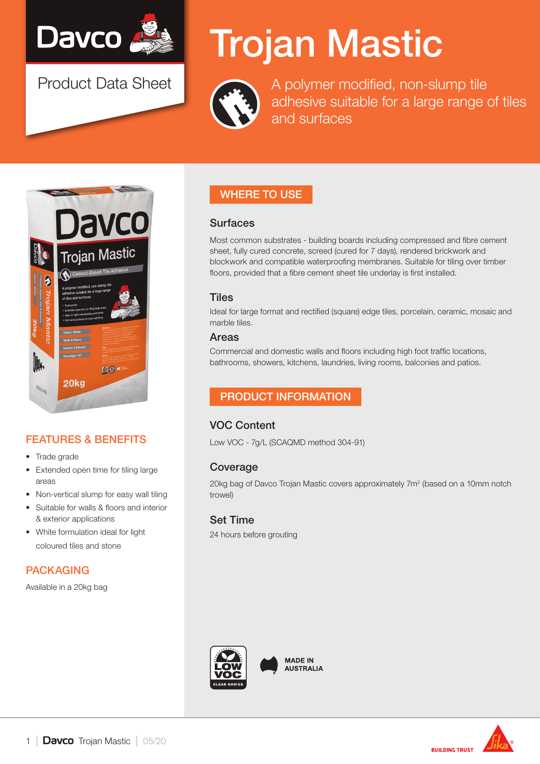

Product Data Sheet

# Trojan Mastic



A polymer modified, non-slump tile adhesive suitable for a large range of tiles and surfaces



# FEATURES & BENEFITS

- Trade grade
- Extended open time for tiling large areas
- Non-vertical slump for easy wall tiling
- Suitable for walls & floors and interior & exterior applications
- White formulation ideal for light coloured tiles and stone

## PACKAGING

Available in a 20kg bag

# WHERE TO USE

#### **Surfaces**

Most common substrates - building boards including compressed and fibre cement sheet, fully cured concrete, screed (cured for 7 days), rendered brickwork and blockwork and compatible waterproofing membranes. Suitable for tiling over timber floors, provided that a fibre cement sheet tile underlay is first installed.

## **Tiles**

Ideal for large format and rectified (square) edge tiles, porcelain, ceramic, mosaic and marble tiles.

#### Areas

Commercial and domestic walls and floors including high foot traffic locations, bathrooms, showers, kitchens, laundries, living rooms, balconies and patios.

## PRODUCT INFORMATION

## VOC Content

Low VOC - 7g/L (SCAQMD method 304-91)

## Coverage

20kg bag of Davco Trojan Mastic covers approximately 7m<sup>2</sup> (based on a 10mm notch trowel)

## Set Time

24 hours before grouting



**MADE IN AUSTRALIA** 

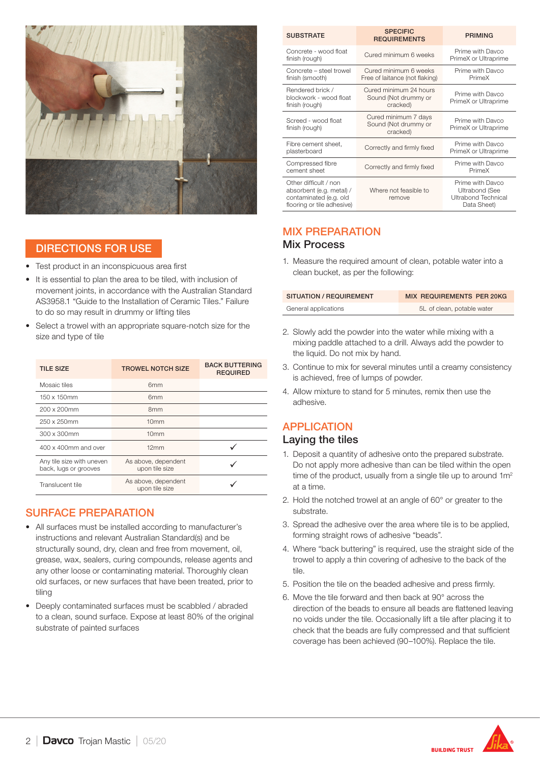

## DIRECTIONS FOR USE

- Test product in an inconspicuous area first
- It is essential to plan the area to be tiled, with inclusion of movement joints, in accordance with the Australian Standard AS3958.1 "Guide to the Installation of Ceramic Tiles." Failure to do so may result in drummy or lifting tiles
- Select a trowel with an appropriate square-notch size for the size and type of tile

| <b>TILE SIZE</b>                                   | <b>TROWEL NOTCH SIZE</b>              | <b>BACK BUTTERING</b><br><b>REQUIRED</b> |
|----------------------------------------------------|---------------------------------------|------------------------------------------|
| Mosaic tiles                                       | 6 <sub>mm</sub>                       |                                          |
| 150 x 150mm                                        | 6 <sub>mm</sub>                       |                                          |
| 200 x 200mm                                        | 8 <sub>mm</sub>                       |                                          |
| 250 x 250mm                                        | 10 <sub>mm</sub>                      |                                          |
| 300 x 300mm                                        | 10 <sub>mm</sub>                      |                                          |
| 400 x 400mm and over                               | 12mm                                  |                                          |
| Any tile size with uneven<br>back, lugs or grooves | As above, dependent<br>upon tile size |                                          |
| Translucent tile                                   | As above, dependent<br>upon tile size |                                          |

## SURFACE PREPARATION

- All surfaces must be installed according to manufacturer's instructions and relevant Australian Standard(s) and be structurally sound, dry, clean and free from movement, oil, grease, wax, sealers, curing compounds, release agents and any other loose or contaminating material. Thoroughly clean old surfaces, or new surfaces that have been treated, prior to tiling
- Deeply contaminated surfaces must be scabbled / abraded to a clean, sound surface. Expose at least 80% of the original substrate of painted surfaces

| <b>SUBSTRATE</b>                                                                                          | <b>SPECIFIC</b><br><b>REQUIREMENTS</b>                     | <b>PRIMING</b>                                                                  |
|-----------------------------------------------------------------------------------------------------------|------------------------------------------------------------|---------------------------------------------------------------------------------|
| Concrete - wood float<br>finish (rough)                                                                   | Cured minimum 6 weeks                                      | Prime with Davco<br>PrimeX or Ultraprime                                        |
| Concrete - steel trowel<br>finish (smooth)                                                                | Cured minimum 6 weeks<br>Free of laitance (not flaking)    | Prime with Davco<br>PrimeX                                                      |
| Rendered brick /<br>blockwork - wood float<br>finish (rough)                                              | Cured minimum 24 hours<br>Sound (Not drummy or<br>cracked) | Prime with Davco<br>PrimeX or Ultraprime                                        |
| Screed - wood float<br>finish (rough)                                                                     | Cured minimum 7 days<br>Sound (Not drummy or<br>cracked)   | Prime with Davco<br>PrimeX or Ultraprime                                        |
| Fibre cement sheet,<br>plasterboard                                                                       | Correctly and firmly fixed                                 | Prime with Davco<br>PrimeX or Ultraprime                                        |
| Compressed fibre<br>cement sheet                                                                          | Correctly and firmly fixed                                 | Prime with Davco<br>PrimeX                                                      |
| Other difficult / non<br>absorbent (e.g. metal) /<br>contaminated (e.g. old<br>flooring or tile adhesive) | Where not feasible to<br>remove                            | Prime with Davco<br><b>Ultrabond (See</b><br>Ultrabond Technical<br>Data Sheet) |

## MIX PREPARATION

#### Mix Process

1. Measure the required amount of clean, potable water into a clean bucket, as per the following:

| <b>SITUATION / REQUIREMENT</b> | MIX REQUIREMENTS PER 20KG  |
|--------------------------------|----------------------------|
| General applications           | 5L of clean, potable water |

- 2. Slowly add the powder into the water while mixing with a mixing paddle attached to a drill. Always add the powder to the liquid. Do not mix by hand.
- 3. Continue to mix for several minutes until a creamy consistency is achieved, free of lumps of powder.
- 4. Allow mixture to stand for 5 minutes, remix then use the adhesive.

## APPLICATION Laying the tiles

- 1. Deposit a quantity of adhesive onto the prepared substrate. Do not apply more adhesive than can be tiled within the open time of the product, usually from a single tile up to around 1m<sup>2</sup> at a time.
- 2. Hold the notched trowel at an angle of 60° or greater to the substrate.
- 3. Spread the adhesive over the area where tile is to be applied, forming straight rows of adhesive "beads".
- 4. Where "back buttering" is required, use the straight side of the trowel to apply a thin covering of adhesive to the back of the tile.
- 5. Position the tile on the beaded adhesive and press firmly.
- 6. Move the tile forward and then back at 90° across the direction of the beads to ensure all beads are flattened leaving no voids under the tile. Occasionally lift a tile after placing it to check that the beads are fully compressed and that sufficient coverage has been achieved (90–100%). Replace the tile.